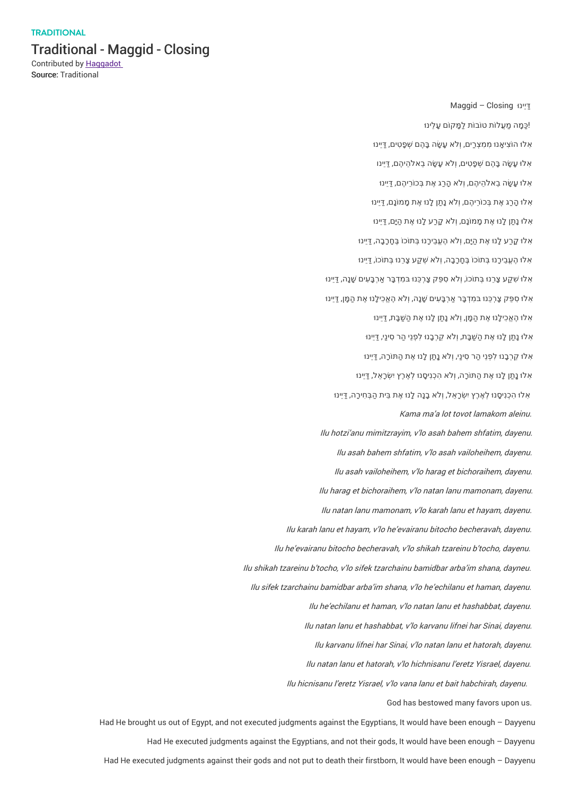## **TRADITIONAL**

# Traditional - Maggid - Closing

Contributed by Haggadot Source: Traditional

> ַדּיֵינו ּ Closing – Maggid !כַמַה מעֲלוֹת טוֹבוֹת לַמַּקוֹם עַלינוּ ֿאָלוּ הוֹצִיאָנוּ מִמְצְרַים, וְלֹא עָשָׂה בָּהֶם שְׁפָּטִים, דַיֵּינוּ ִאלו עָ ָׂשה בָּ ֶהם ְׁשפָ ִטים, וְ ֹלא עָ ָׂשה בֵא ֹל ֵהי ֶהם, ַדּיֵינו ִאלו עָ ָׂשה בֵא ֹל ֵהי ֶהם, וְ ֹלא ָהרַג ֶאת בְּכ ֹורֵי ֶהם, ַדּיֵינו ּ אָלו הָרַג אֶת בְּכוֹרֵיהֶם, וְלֹא נָתַן לָנוּ אֶת מָמוֹנַם, דַּיֵינוּ אָלוּ נָתַן לָנוּ אֶת מָמוֹנָם, וְלֹא קָרַע לָנוּ אֶת הַיָּם, דַיֵינוּ אָלו קָרַע לָנו אֶת הַיָּם, וְלֹא הֶעֶבֵירָנוּ בְּתוֹכוֹ בֶּחָרָבָה, דַיֵינוּ אָלוּ הֶעֱבֵירָנוּ בְּתוֹכוֹ בֶּחָרָבָה, וְלֹא שְׁקַע צָרֵנוּ בְּתוֹכוֹ, דַּיֵינוּ ֿאָלוּ שִׁקַע צָרֵנוּ בְּתוֹכוֹ, וְלֹא סִפֵּק צָרְכֵּנוּ בּמִדְבָּר אַרְבָּעִים שָׁנָה, דַיֵּינוּ ּ ֿאָלו סְפֵּק צָרְכֵּנוּ בּמִדְבָּר אַרְבָּעִים שָׁנָה, וְלֹא הֶאֱכִילָנוּ אֶת הַמָּן, דַיֵּינוּ אָלוּ הֶאֱכִילָנוּ אֶת הַמָּן, וְלֹא נָתַן לָנוּ אֶת הַשַּׁבָּת, דַיֵינוּ אָלו נָתַן לָנו אֶת הַשַּׁבָּת, וְלֹא קֵרְבָנוּ לִפְנֵי הַר סִינַי, דַיֵינוּ אָלוּ קֵרְבָנוּ לִפְנֵי הַר סִינַי, וְלֹא נֵתַן לָנוּ אֶת הַתּוֹרָה, דַיֵינוּ אָלו נַתַן לָנוּ אֶת הַתּוֹרָה, וְלֹא הְכְנִיסָנוּ לְאֶרֶץ יִשְׂרָאֵל, דַּיֵינוּ אָלוּ הִכְנִיסָנוּ לְאֶרֶץ יִשְׂרָאֵל, וְלֹא בָנָה לָנוּ אֶת בֵּית הַבְּחִירָה, דַּיֵינוּ Kama ma'a lot tovot lamakom aleinu. Ilu hotzi'anu mimitzrayim, <sup>v</sup>'lo asah bahem shfatim, dayenu. Ilu asah bahem shfatim, <sup>v</sup>'lo asah vailoheihem, dayenu. Ilu asah vailoheihem, <sup>v</sup>'lo harag et bichoraihem, dayenu. Ilu harag et bichoraihem, <sup>v</sup>'lo natan lanu mamonam, dayenu. Ilu natan lanu mamonam, <sup>v</sup>'lo karah lanu et hayam, dayenu. Ilu karah lanu et hayam, <sup>v</sup>'lo he'evairanu bitocho becheravah, dayenu. Ilu he'evairanu bitocho becheravah, <sup>v</sup>'lo shikah tzareinu b'tocho, dayenu. Ilu shikah tzareinu b'tocho, <sup>v</sup>'lo sifek tzarchainu bamidbar arba'im shana, dayneu. Ilu sifek tzarchainu bamidbar arba'im shana, <sup>v</sup>'lo he'echilanu et haman, dayenu. Ilu he'echilanu et haman, <sup>v</sup>'lo natan lanu et hashabbat, dayenu. Ilu natan lanu et hashabbat, <sup>v</sup>'lo karvanu lifnei har Sinai, dayenu. Ilu karvanu lifnei har Sinai, <sup>v</sup>'lo natan lanu et hatorah, dayenu. Ilu natan lanu et hatorah, <sup>v</sup>'lo hichnisanu l'eretz Yisrael, dayenu. Ilu hicnisanu l'eretz Yisrael, <sup>v</sup>'lo vana lanu et bait habchirah, dayenu.

God has bestowed many favors upon us.

Had He brought us out of Egypt, and not executed judgments against the Egyptians, It would have been enough – Dayyenu Had He executed judgments against the Egyptians, and not their gods, It would have been enough – Dayyenu

Had He executed judgments against their gods and not put to death their firstborn, It would have been enough – Dayyenu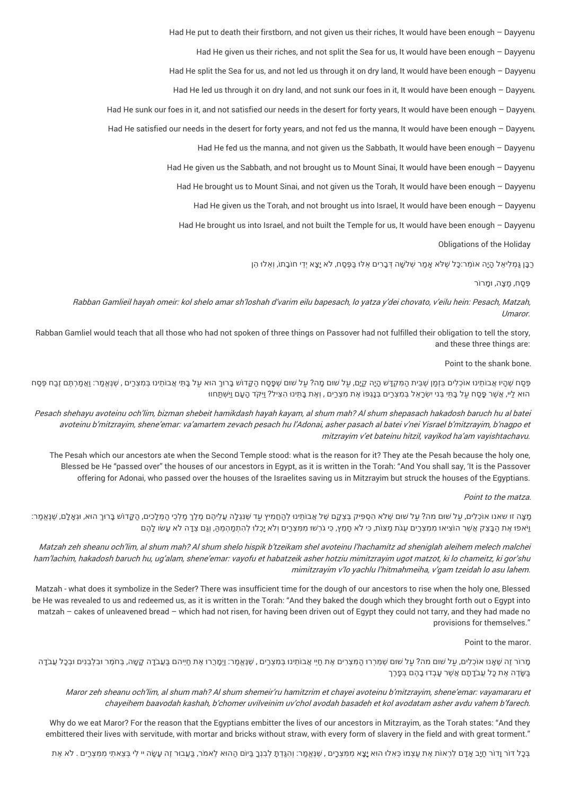Had He put to death their firstborn, and not given us their riches, It would have been enough – Dayyenu

Had He given us their riches, and not split the Sea for us, It would have been enough – Dayyenu

Had He split the Sea for us, and not led us through it on dry land, It would have been enough – Dayyenu

Had He led us through it on dry land, and not sunk our foes in it, It would have been enough – Dayyenu

Had He sunk our foes in it, and not satisfied our needs in the desert for forty years, It would have been enough - Dayyenu

Had He satisfied our needs in the desert for forty years, and not fed us the manna, It would have been enough - Dayyenu

Had He fed us the manna, and not given us the Sabbath, It would have been enough – Dayyenu

Had He given us the Sabbath, and not brought us to Mount Sinai, It would have been enough – Dayyenu

Had He brought us to Mount Sinai, and not given us the Torah, It would have been enough – Dayyenu

Had He given us the Torah, and not brought us into Israel, It would have been enough – Dayyenu

Had He brought us into Israel, and not built the Temple for us, It would have been enough – Dayyenu

Obligations of the Holiday

ַרַבָּן גַּמְלִיאֵל הָיָה אוֹמֵר:כָּל שֶׁלֹא אָמַר שְׁלשָׁה דְּבָרִים אֵלוּ בַּפֶּסַח, לֹא יָצָא יְדֵי חוֹבָתו, וְאֵלוּ הֵן

ּפֶ ַסח, ַמצָה, ו ָּמר ֹור

Rabban Gamlieil hayah omeir: kol shelo amar sh'loshah d'varim eilu bapesach, lo yatza y'dei chovato, <sup>v</sup>'eilu hein: Pesach, Matzah, Umaror.

Rabban Gamliel would teach that all those who had not spoken of three things on Passover had not fulfilled their obligation to tell the story, and these three things are:

Point to the shank bone.

פֶּסַח שֶׁהָיוּ אֲבוֹתִינוּ אוֹכְלִים בִּזְמַן שָׁבֵּית הַמִּקְדָּשׁ הָיָה קָיָם, עַל שׁוּם מָה? עַל שוּם שֶׁפֶּסַח הַקָּדוֹש בָּרוּךְ הוּא עַל בָּתִּי אֲבוֹתִינוּ בְּמִצְרֵים , שֶׁגְּאֱמַר: וַאֲמַרְתָּם זֶבַח פֶּסַח הוּא לַיי, אֲשֶׁר פֶּסַח עַל בָּתֵּי בְּני יִשְׂרָאֵל בְּמִצְרַים בְּנָגְפוֹ אֶת מִצְרַים , וְאֶת בָּתֵּינוּ הִצִיל? וַיִּקֹד הָעָם וַיִּשְׁתַּחווּ ּ ּ

Pesach shehayu avoteinu och'lim, bizman shebeit hamikdash hayah kayam, al shum mah? Al shum shepasach hakadosh baruch hu al batei avoteinu b'mitzrayim, shene'emar: va'amartem zevach pesach hu l'Adonai, asher pasach al batei <sup>v</sup>'nei Yisrael b'mitzrayim, b'nagpo et mitzrayim <sup>v</sup>'et bateinu hitzil, vayikod ha'am vayishtachavu.

The Pesah which our ancestors ate when the Second Temple stood: what is the reason for it? They ate the Pesah because the holy one, Blessed be He "passed over" the houses of our ancestors in Egypt, as it is written in the Torah: "And You shall say, 'It is the Passover offering for Adonai, who passed over the houses of the Israelites saving us in Mitzrayim but struck the houses of the Egyptians.

Point to the matza.

מַצַּה זו שאנו אוֹכִלִים, עַל שׁוּם מה? עַל שׁוּם שֶׁלֹא הְסָפִּיק בְּצֵקָם שֶׁל אֲבוֹתֵינוּ לְהַחֲמִיץ עַד שֶׁנִּגְלָה עֲלֵיהֶם מֶלֶךְ מַלְכֵי הַמְּלָכִים, הַקֲדוֹש בָּרוּךְ הוּא, וּגְאָלָם, שֶׁנֶּאֱמַר: וַיֹּאפוּ אֶת הַבָּצֵק אֲשֶׁר הוֹצִיאוּ מִמִצְרַים עֻגֹת מַצּוֹת, כִּי לֹא חָמֵץ, כִּי גֹרְשׁוּ מִמִּצְרֵים ןלֹא יָכְלוּ לְהָתְמַהְמֵהָ, וְגַם צֵדָה לֹא עָשׂו לָהֶם

Matzah zeh sheanu och'lim, al shum mah? Al shum shelo hispik b'tzeikam shel avoteinu l'hachamitz ad sheniglah aleihem melech malchei ham'lachim, hakadosh baruch hu, ug'alam, shene'emar: vayofu et habatzeik asher hotziu mimitzrayim ugot matzot, ki lo chameitz, ki gor'shu mimitzrayim <sup>v</sup>'lo yachlu l'hitmahmeiha, <sup>v</sup>'gam tzeidah lo asu lahem.

Matzah - what does it symbolize in the Seder? There was insufficient time for the dough of our ancestors to rise when the holy one, Blessed be He was revealed to us and redeemed us, as it is written in the Torah: "And they baked the dough which they brought forth out o Egypt into matzah – cakes of unleavened bread – which had not risen, for having been driven out of Egypt they could not tarry, and they had made no provisions for themselves."

Point to the maror.

מָרוֹר זֶה שֶׁאָנוּ אוֹכְלִים, עַל שׁוּם מה? עַל שׁוּם שֶׁמֵּרְרוּ הַמִּצְרִים אֶת חַיֵי אֲבוֹתֵינוּ בְּמִצְרַים , שֶׁנְאֱמַר: וַעֲתָּרוּ הַמִּצְרִים אֶת חַיֵּי אֲבוֹתֵינוּ בְּמִצְרִים, שְׁנְאֱמַר: וַמְנִאֲרֵי, וַעֲתָּבוֹת ַבַּשָּׂדֶה אֶת כַּל עֲבֹדָתָם אֲשֶׁר עָבְדוּ בָהֶם בְּפָרֶך

Maror zeh sheanu och'lim, al shum mah? Al shum shemeir'ru hamitzrim et chayei avoteinu b'mitzrayim, shene'emar: vayamararu et chayeihem baavodah kashah, b'chomer uvilveinim uv'chol avodah basadeh et kol avodatam asher avdu vahem b'farech.

Why do we eat Maror? For the reason that the Egyptians embitter the lives of our ancestors in Mitzrayim, as the Torah states: "And they embittered their lives with servitude, with mortar and bricks without straw, with every form of slavery in the field and with great torment."

בְּכָל דּוֹר וָדוֹר חַיַב אָדָם לִרְאוֹת אֶת עַצְמוֹ כְּאָלוּ הוּא יָצֶא מִמִּצְרַים , שֶׁנְּאֱמַר: וְהַבֵּדְתַּ לְבִנְךָ בַּיוֹם הַהוּא לֵאמֹר, בַּעֲבוּר זֶה עָשָׂה יי לִי בְּצֵאתִי מִמִּצְרַים . לֹא אֶת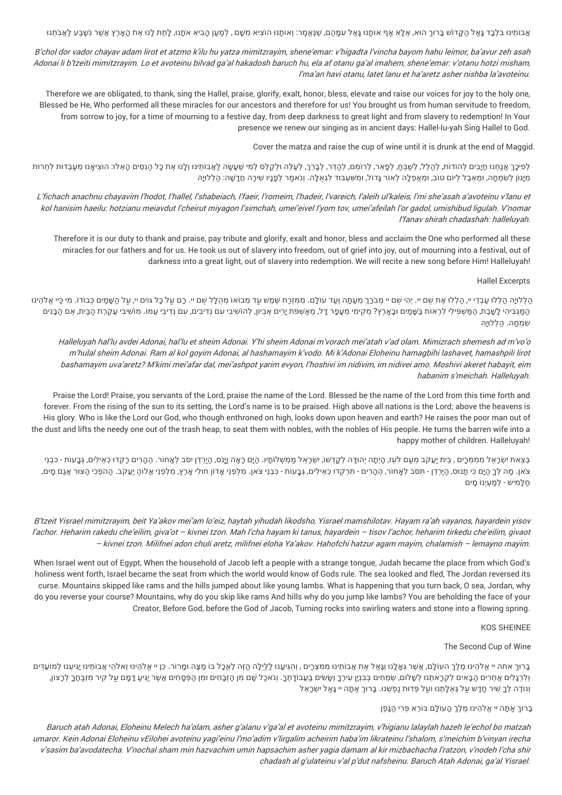אָבוֹתִינוּ בִּלְבָד גָּאַל הַקָּדוֹש בָּרוּךְ הוּא, אֶלָּא אַף אוֹתָנוּ גַּאַל עִמָּהֶם, שָׁגָּאֲמַר: וְאוֹתָנוּ הוֹצִיא מִשָּׁם , לְמַעַן הַבִּיא אתָנוּ, לָתֶת לָנוּ אֶת הָאָרֶץ אֲשֶׁר נְשָׁבַע לַאֲבֹתֵנוּ

B'chol dor vador chayav adam lirot et atzmo k'ilu hu yatza mimitzrayim, shene'emar: <sup>v</sup>'higadta l'vincha bayom hahu leimor, ba'avur zeh asah Adonai li b'tzeiti mimitzrayim. Lo et avoteinu bilvad ga'al hakadosh baruch hu, ela af otanu ga'al imahem, shene'emar: <sup>v</sup>'otanu hotzi misham, l'ma'an havi otanu, latet lanu et ha'aretz asher nishba la'avoteinu.

Therefore we are obligated, to thank, sing the Hallel, praise, glorify, exalt, honor, bless, elevate and raise our voices for joy to the holy one, Blessed be He, Who performed all these miracles for our ancestors and therefore for us! You brought us from human servitude to freedom, from sorrow to joy, for a time of mourning to a festive day, from deep darkness to great light and from slavery to redemption! In Your presence we renew our singing as in ancient days: Hallel-lu-yah Sing Hallel to God.

Cover the matza and raise the cup of wine until it is drunk at the end of Maggid.

לפִיכָךְ אֲנַחְנוּ חַיָבִים להודות לְהַלֵל, לְשַׁבְּחַ, לְפַאֶר, לרוֹמֶם, לְהַדֵּר, לְבָרֶךְ, לְעַלָּה וּלְקַלָּס לְמִי שֶׁעֲשֶׂה לַאֲבוֹתֵינוּ וְלָנוּ אֶת כָּל הַנְסִים הָאָלוּ: הוֹצִיאָנוּ מַעֲבְדוּת לְחֵרוּת מְיָנוֹן לְשִׂמְחָה, וּמֵאֶבֶל לְיוֹם טוֹב, וּמֵאֲפֶלָה לְאוֹר גֶּדוֹל, וּמִשְׁעָבּוּד לְגָאֶלָּה. וְנֹאמַר לְפָנָיו שִׁירַה חֲדָשָׁה: הַלְלוּיָה

L'fichach anachnu chayavim l'hodot, l'hallel, l'shabeiach, l'faeir, l'romeim, l'hadeir, l'vareich, l'aleih ul'kaleis, l'mi she'asah <sup>a</sup>'avoteinu <sup>v</sup>'lanu et kol hanisim haeilu: hotzianu meiavdut l'cheirut miyagon l'simchah, umei'eivel l'yom tov, umei'afeilah l'or gadol, umishibud ligulah. V'nomar l'fanav shirah chadashah: halleluyah.

Therefore it is our duty to thank and praise, pay tribute and glorify, exalt and honor, bless and acclaim the One who performed all these miracles for our fathers and for us. He took us out of slavery into freedom, out of grief into joy, out of mourning into a festival, out of darkness into a great light, out of slavery into redemption. We will recite a new song before Him! Halleluyah!

#### Hallel Excerpts

הַלְלוֹיָהּ הַלְלוֹ עַבְדִי יי, הַלְלוּ אֶת שֶׁם יי. יְהִי שֶׁם יי מְבֹרֶךְ מֵעֲתָּה וְעַד עוֹלָם. מִמְזְרַח שֶׁמֶשׁ עַד מְבוֹאו מְהֻלָּל שֶׁם יי. רָם עַל כָּל גּוּיִם יי, עַל הַשָּׁמַים כְּבוֹדוֹ. מִי כֵּיי אֱלֹהֵינוּ הַמַּגְבִּיהִי לָשָׁבָת, הַמַּשְׁפִּילִי לִרְאוֹת בַּשָּׁמַיִם וּבָאָרֶץ? מְקִימִי מֵעָפָר דָל, מֵאַשְׁפֹּת יָרִים אָבְיוֹן, לְהוֹשִׁיבִי עָם נְדִיבִים, עִם נְדִיבֵי עַמּוֹ. מוֹשִׁיבִי עָקָרֶת הַבֵּית, אֵם הַבָּנִים ִׂש ְמ ָחה. ַהלְלויָּ ּה

Halleluyah hal'lu avdei Adonai, hal'lu et sheim Adonai. Y'hi sheim Adonai <sup>m</sup>'vorach mei'atah <sup>v</sup>'ad olam. Mimizrach shemesh ad <sup>m</sup>'vo'o <sup>m</sup>'hulal sheim Adonai. Ram al kol goyim Adonai, al hashamayim k'vodo. Mi k'Adonai Eloheinu hamagbihi lashavet, hamashpili lirot bashamayim uva'aretz? M'kimi mei'afar dal, mei'ashpot yarim evyon, l'hoshivi im nidivim, im nidivei amo. Moshivi akeret habayit, eim habanim <sup>s</sup>'meichah. Halleluyah.

Praise the Lord! Praise, you servants of the Lord, praise the name of the Lord. Blessed be the name of the Lord from this time forth and forever. From the rising of the sun to its setting, the Lord's name is to be praised. High above all nations is the Lord; above the heavens is His glory. Who is like the Lord our God, who though enthroned on high, looks down upon heaven and earth? He raises the poor man out of the dust and lifts the needy one out of the trash heap, to seat them with nobles, with the nobles of His people. He turns the barren wife into a happy mother of children. Halleluyah!

בְּצֵאת יִשְׂרָאֵל מִמְמִּרָים , בֵּית יַעֲקֹב מֵעַם לֹעֵז, הָיְתָה יְהוּדָה לְקָדְשׁו, יִשְׂרָאֵל מַמְשְׁלוֹתָיו. הַיָּם רָאָה <u>וי</u>ַנֹס, הַיַרְדַּן יִסֹב לְאָחוֹר. הֶהָרִים רָקְדוּ כְאֶילִים, גְּבָעוֹת - כִּבְנֵי צאן. מַה לְּךָ הַיָם כִּי תָנוּס, הַיַרְדֵן - תִּסֹב לְאָחוֹר, הֶהָרִים - תִּרְקְדוּ כְאֵילִים, גְּבָעוֹת - כִּבְנֵי צֹאן. מִלְפְנֵי אָדוֹן חוּלִי אָכֶץ, מִלְפְנֵי אֱלוֹהַ יַעֲקֹב. הַהֹפְכִי הַצּוּר אָגַם מָים, ַחלָּ ִמיש - לְ ַמ ְעי ְנ ֹו ָמיִם

B'tzeit Yisrael mimitzrayim, beit Ya'akov mei'am lo'eiz, haytah yihudah likodsho, Yisrael mamshilotav. Hayam ra'ah vayanos, hayardein yisov l'achor. Heharim rakedu che'eilim, giva'ot – kivnei tzon. Mah l'cha hayam ki tanus, hayardein – tisov l'achor, heharim tirkedu che'eilim, givaot – kivnei tzon. Milifnei adon chuli aretz, milifnei eloha Ya'akov. Hahofchi hatzur agam mayim, chalamish – lemayno mayim.

When Israel went out of Egypt, When the household of Jacob left a people with a strange tongue, Judah became the place from which God's holiness went forth, Israel became the seat from which the world would know of Gods rule. The sea looked and fled, The Jordan reversed its curse. Mountains skipped like rams and the hills jumped about like young lambs. What is happening that you turn back, O sea, Jordan, why do you reverse your course? Mountains, why do you skip like rams And hills why do you jump like lambs? You are beholding the face of your Creator, Before God, before the God of Jacob, Turning rocks into swirling waters and stone into a flowing spring.

#### KOS SHEINEE

## The Second Cup of Wine

בָּרוּךְ אתה יי אֱלֹהֵינוּ מֶלֶךְ העוֹלָם, אֲשֶׁר גְּאָלָנוּ וְגַּאֲל אֶת אֲבוֹתֵינוּ מִמִּצְרַים , וְהִגִּיעָנוּ לַלַיְלָה הַזֶּה לָאֶכֶל בּוֹ מַצָּה וּמָרוֹר. כֵּן יי אֱלֹהֵינו וַאֲלֹהָי אֲבוֹתֵינוּ לְמוֹעֲדִים ולְרֶגֶלִים אֲחֵרִים הַבָּאִים לִקְרָאתֶנוּ לְשָׁלוֹם, שְׂמַחִים בְּבִנְוֵ עִירֶךָ וְשָׂשִׁים בַּעֲבוֹדֶתֶךָ. וְנֹאכַל שֶׁם מִן הַזְּבָחִים וּמִן הַפְּסֶחִים אֲשֶׁר יַגִּיע דָּמָם עַל קִיר מִזְבַּחֲךָ לְרָצוֹן, וְנוֹדָה לךָ שִׁיר חדש על גָּאלָתנוּ ועל פְּדוּת נַפְשׁנוּ. בַּרוּךְ אִתָּה יי גַּאל יִשְׂראַל

## בָּרוּךְ אַתָּה יי אֱלֹהֵינוּ מֶלֶךְ הָעוֹלַם בּוֹרֵא פְּרִי הַגָּפֶן

Baruch atah Adonai, Eloheinu Melech ha'olam, asher g'alanu <sup>v</sup>'ga'al et avoteinu mimitzrayim, <sup>v</sup>'higianu lalaylah hazeh le'echol bo matzah umaror. Kein Adonai Eloheinu vEilohei avoteinu yagi'einu l'mo'adim <sup>v</sup>'lirgalim acheirim haba'im likrateinu l'shalom, <sup>s</sup>'meichim b'vinyan irecha <sup>v</sup>'sasim ba'avodatecha. V'nochal sham min hazvachim umin hapsachim asher yagia damam al kir mizbachacha l'ratzon, <sup>v</sup>'nodeh l'cha shir chadash al g'ulateinu <sup>v</sup>'al p'dut nafsheinu. Baruch Atah Adonai, ga'al Yisrael.